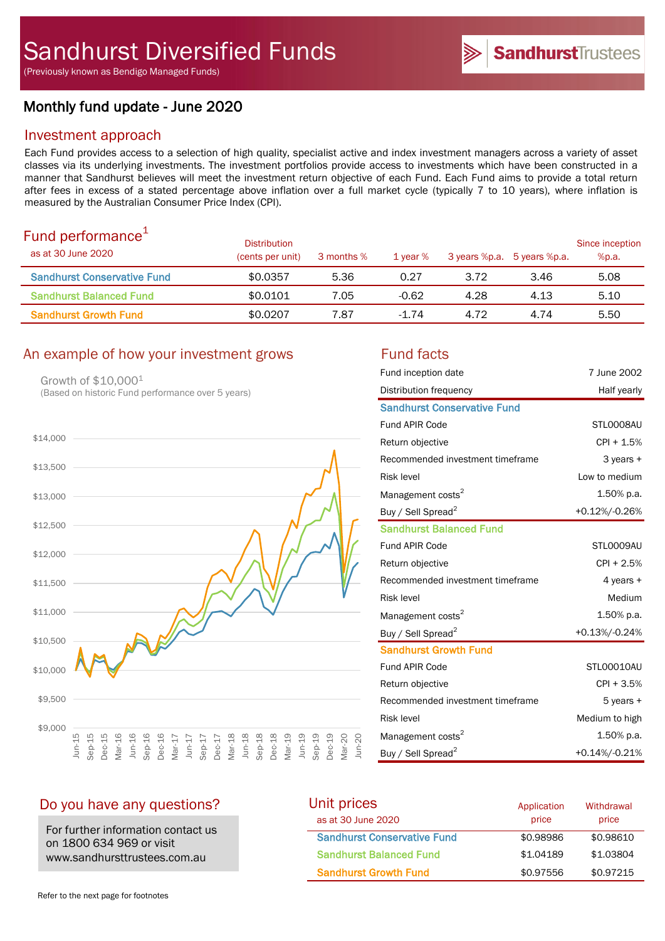(Previously known as Bendigo Managed Funds)

# Monthly fund update - June 2020

## Investment approach

Each Fund provides access to a selection of high quality, specialist active and index investment managers across a variety of asset classes via its underlying investments. The investment portfolios provide access to investments which have been constructed in a manner that Sandhurst believes will meet the investment return objective of each Fund. Each Fund aims to provide a total return after fees in excess of a stated percentage above inflation over a full market cycle (typically 7 to 10 years), where inflation is measured by the Australian Consumer Price Index (CPI).

| Fund performance <sup>+</sup><br>as at 30 June 2020 | <b>Distribution</b><br>(cents per unit) | 3 months % | 1 year $%$ |      | 3 years %p.a. 5 years %p.a. | Since inception<br>%p.a. |
|-----------------------------------------------------|-----------------------------------------|------------|------------|------|-----------------------------|--------------------------|
| <b>Sandhurst Conservative Fund</b>                  | \$0.0357                                | 5.36       | 0.27       | 3.72 | 3.46                        | 5.08                     |
| <b>Sandhurst Balanced Fund</b>                      | \$0.0101                                | 7.05       | $-0.62$    | 4.28 | 4.13                        | 5.10                     |
| <b>Sandhurst Growth Fund</b>                        | \$0.0207                                | 7.87       | $-1.74$    | 4.72 | 4.74                        | 5.50                     |

## An example of how your investment grows Fund facts

Growth of \$10,000<sup>1</sup> (Based on historic Fund performance over 5 years)



| Fund inception date                | 7 June 2002    |
|------------------------------------|----------------|
| Distribution frequency             | Half yearly    |
| <b>Sandhurst Conservative Fund</b> |                |
| <b>Fund APIR Code</b>              | STL0008AU      |
| Return objective                   | $CPI + 1.5%$   |
| Recommended investment timeframe   | 3 years +      |
| <b>Risk level</b>                  | Low to medium  |
| Management costs <sup>2</sup>      | 1.50% p.a.     |
| Buy / Sell Spread <sup>2</sup>     | +0.12%/-0.26%  |
| <b>Sandhurst Balanced Fund</b>     |                |
| Fund APIR Code                     | STL0009AU      |
| Return objective                   | $CPI + 2.5%$   |
| Recommended investment timeframe   | 4 years +      |
| <b>Risk level</b>                  | Medium         |
| Management costs <sup>2</sup>      | 1.50% p.a.     |
| Buy / Sell Spread <sup>2</sup>     | +0.13%/-0.24%  |
| <b>Sandhurst Growth Fund</b>       |                |
| <b>Fund APIR Code</b>              | STL00010AU     |
| Return objective                   | $CPI + 3.5%$   |
| Recommended investment timeframe   | 5 years +      |
| <b>Risk level</b>                  | Medium to high |
| Management costs <sup>2</sup>      | 1.50% p.a.     |
| Buy / Sell Spread <sup>2</sup>     | +0.14%/-0.21%  |

## Do you have any questions?

For further information contact us on 1800 634 969 or visit www.sandhursttrustees.com.au

| Unit prices                        | Application | Withdrawal |  |
|------------------------------------|-------------|------------|--|
| as at 30 June 2020                 | price       | price      |  |
| <b>Sandhurst Conservative Fund</b> | \$0.98986   | \$0.98610  |  |
| <b>Sandhurst Balanced Fund</b>     | \$1.04189   | \$1,03804  |  |
| <b>Sandhurst Growth Fund</b>       | \$0.97556   | \$0.97215  |  |